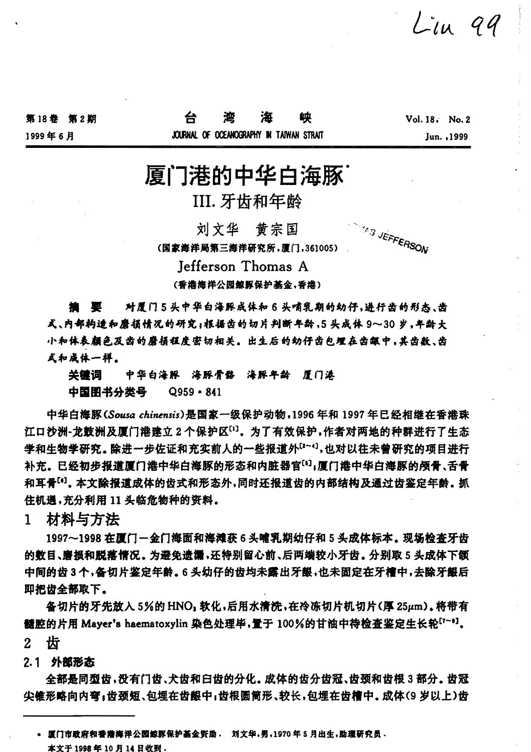$Lin$  99

第18卷 第2期

1999年6月

# 厦门港的中华白海豚

III. 牙齿和年龄

**SAS JEFFERSON** 刘文华 黄宗国 (国家海洋局第三海洋研究所,厦门,361005)

Jefferson Thomas A

(香港海洋公园鲸豚保护基金,香港)

**撫 婴 对厦门5头中华白海豚成体和6头哺乳期的幼仔,进行齿的形态、齿** 式、内部构造和磨损情况的研究;根据齿的切片判断年龄,5头成体 9~30岁,年龄大 小和体表颜色及齿的磨损程度密切相关。出生后的幼仔齿包埋在齿龈中,其齿数、齿 式和成体一样。

关键词 中华白海豚 海豚骨骼 海豚年龄 厦门港

中国閉书分类号  $Q959 - 841$ 

中华白海豚(Sousa chinensis)是国家一级保护动物,1996年和1997年已经相继在香港珠 江口沙洲-龙鼓洲及厦门港建立2个保护区[1]。为了有效保护,作者对两地的种群进行了生态 学和生物学研究。除进一步佐证和充实前人的一些报道外[2~9],也对以往未曾研究的项目进行 补充。已经初步报道厦门港中华白海豚的形态和内脏器官[5];厦门港中华白海豚的颅骨、舌骨 和耳骨[6]。本文除报道成体的齿式和形态外,同时还报道齿的内部结构及通过齿鉴定年龄。抓 住机遇,充分利用 11 头临危物种的资料。

材料与方法  $\mathbf{1}$ 

1997~1998在厦门一金门海面和海滩获6头哺乳期幼仔和5头成体标本。现场检查牙齿 的教目、磨损和脱落情况。为避免遗漏,还特别留心前、后两端较小牙齿。分别取5头成体下颌 中间的齿3个,备切片鉴定年龄。6头幼仔的齿均未露出牙龈,也未固定在牙槽中,去除牙龈后 即把齿全部取下。

备切片的牙先放入 5%的 HNO, 软化,后用水清洗,在冷冻切片机切片(厚 25µm)。将带有 髓腔的片用 Mayer's haematoxylin 染色处理毕,置于 100%的甘油中待检查鉴定生长轮<sup>[7~9]</sup>。

齿  $2 -$ 

2.1 外部形态

全部是同型齿,没有门齿、犬齿和臼齿的分化。成体的齿分齿冠、齿颈和齿根3部分。齿冠 尖锥形略向内弯;齿颈短、包埋在齿龈中;齿根圆筒形、较长,包埋在齿槽中。成体(9岁以上)齿

<sup>•</sup> 直门市政府和香港海洋公园鲸豚保护基金资助 · 刘文华,男,1970年5月出生,助理研究员 · 本文于1998年10月14日收到.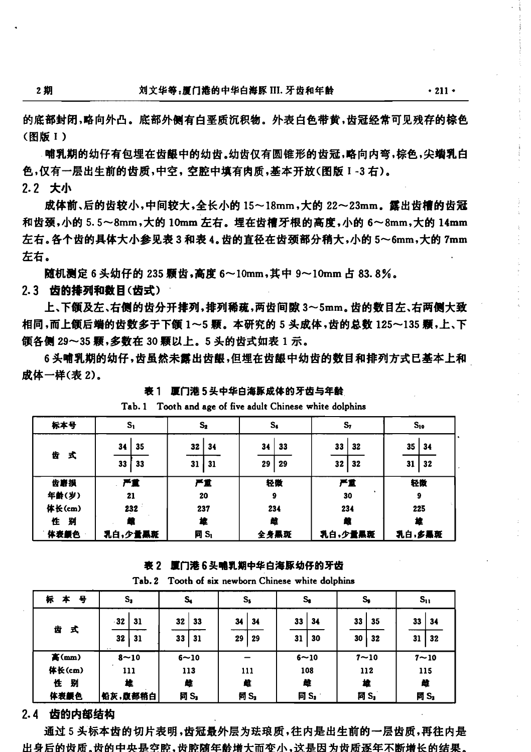$\cdot$  211  $\cdot$ 

的底部封闭,略向外凸。底部外侧有白垩质沉积物。外表白色带黄,齿冠经常可见残存的棕色 (图版 1)

哺乳期的幼仔有包埋在齿龈中的幼齿。幼齿仅有圆锥形的齿冠,略向内弯,棕色,尖端乳白 色,仅有一层出生前的齿质,中空,空腔中填有肉质,基本开放(图版 1-3 右)。 2.2 大小

成体前、后的齿较小,中间较大,全长小的 15~18mm,大的 22~23mm。露出齿槽的齿冠 和齿颈,小的 5.5~8mm,大的 10mm 左右。埋在齿槽牙根的高度,小的 6~8mm,大的 14mm 左右。各个齿的具体大小参见表3和表4。齿的直径在齿颈部分稍大,小的5~6mm,大的7mm 左右。

随机测定 6 头幼仔的 235 颗齿,高度 6~10mm,其中 9~10mm 占 83.8%。 2.3 齿的排列和数目(齿式)

上、下颌及左、右侧的齿分开排列,排列稀疏,两齿间隙 3~5mm。齿的数目左、右两侧大致 相同,而上颌后端的齿数多于下颌 1~5 颗。本研究的 5 头成体,齿的总数 125~135 颗,上、下 颌各侧 29~35 颗,多数在 30 颗以上。5 头的齿式如表 1 示。

6头哺乳期的幼仔,齿虽然未露出齿龈,但埋在齿龈中幼齿的数目和排列方式已基本上和 成体一样(表2)。

| 标本号    | $\mathbf{S}_1$ | $\mathbf{s}_\mathbf{z}$ | $S_{\boldsymbol{\delta}}$ | s,       | $S_{10}$ |
|--------|----------------|-------------------------|---------------------------|----------|----------|
| 齿      | 35<br>34       | 32<br>34                | 33<br>34                  | 33<br>32 | 35<br>34 |
|        | 式<br>33<br>33  | 31<br>31                | 29<br>29                  | 32<br>32 | 32<br>31 |
| 齿磨损    | 严重             | 严重                      | 轻微                        | 严重       | 轻微       |
| 年齢(岁)  | 21             | 20                      | 9                         | ٠<br>30  | 9        |
| 体长(cm) | 232            | 237                     | 234                       | 234      | 225      |
| 别<br>住 | m              | 椲                       | 雌                         | 虪        | 雄        |
| 体表颜色   | 乳白,少量黑斑        | 同 $S_i$                 | 全身黑斑                      | 乳白,少量黑斑  | 乳白,多黑斑   |

表 1 厘门港 5 头中华白海豚成体的牙齿与年龄 Tab. 1 Tooth and age of five adult Chinese white dolphins

# 表 2 厦门港 6头哺乳期中华白海豚幼仔的牙齿

Tab. 2 Tooth of six newborn Chinese white dolphins

| 标<br>묭<br>本 | $s_{\rm s}$                 | s,                   | $S_{\boldsymbol{\mathsf{s}}}$ | $\mathbf{s}_\bullet$ | s,                   | $S_{11}$              |  |
|-------------|-----------------------------|----------------------|-------------------------------|----------------------|----------------------|-----------------------|--|
| 齿<br>式      | $-32$<br>  31<br>32<br>- 31 | 32<br>33<br>33<br>31 | 34<br>34<br>29<br>29          | 33<br>34<br>30<br>31 | 33<br>35<br>30<br>32 | 33<br>-34<br>32<br>31 |  |
| 高(mm)       | $8 - 10$                    | $6 - 10$             |                               | $6 - 10$             | $7 - 10$             | $7 - 10$              |  |
| 体长(cm)      | 111                         | 113                  | 111                           | 108                  | 112                  | 115                   |  |
| 駲<br>性      | 挫                           | 雌                    |                               | 雌                    | 椲                    | 雌                     |  |
| 体表颜色        | 铅灰,腹部稍白                     | 同 S <sub>1</sub>     | 同 S <sub>3</sub>              | 同 $S_{\text{J}}$     | 同 S <sub>3</sub>     | 同 S <sub>1</sub>      |  |

# 2.4 齿的内部结构

通过5头标本齿的切片表明,齿冠最外层为珐琅质,往内是出生前的一层齿质,再往内是 出身后的齿质。齿的中央是空腔,齿腔随年龄增大而变小,这是因为齿质逐年不断增长的结果。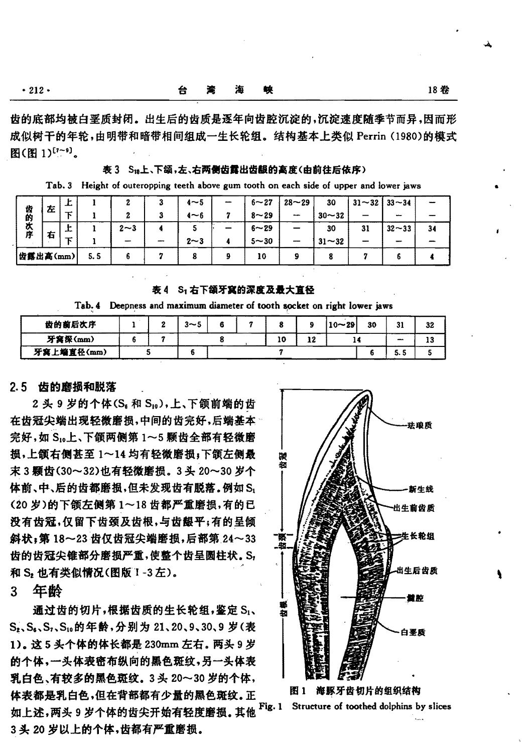|  | $-11$ | . . | 12 |
|--|-------|-----|----|
|  |       |     |    |

齿的底部均被白垩质封闭。出生后的齿质是逐年向齿腔沉淀的,沉淀速度随季节而异,因而形 成似树干的年轮,由明带和暗带相间组成一生长轮组。结构基本上类似 Perrin (1980)的模式 图(图1)[7~9]。

表 3 S18上、下颌,左、右两侧齿露出齿龈的高度(由前往后依序)

Tab. 3 Height of outeropping teeth above gum tooth on each side of upper and lower jaws

|          | 左 | ᅩ       |     |         | $4\neg 5$ | -- | $6 - 27$ | $28 - 29$ | 30        | $31 - 32$ 33 $-34$ |             |    |
|----------|---|---------|-----|---------|-----------|----|----------|-----------|-----------|--------------------|-------------|----|
| 齿的       |   | $-$     |     |         | $4 - 6$   |    | $8 - 29$ | $-$       | $30 - 32$ |                    | -           |    |
| 次序       |   | ъ.<br>ᅩ |     | $2 - 3$ |           |    | $6 - 29$ | -         | 30        | 31                 | $32 - 33$   | 34 |
|          | 右 |         |     | مديبير  | $2 - 3$   |    | $5 - 30$ |           | $31 - 32$ |                    | <b>MARK</b> |    |
| 齿露出高(mm) |   |         | 5.5 |         |           |    | 10       |           |           |                    |             |    |

友4 Sr右下颌牙窝的深度及最大直径

| Tab. 4 Deepness and maximum diameter of tooth socket on right lower jaws |  |  |  |  |
|--------------------------------------------------------------------------|--|--|--|--|
|                                                                          |  |  |  |  |

| 齿的前后次序     |  |  | $3 - 5$ |  |  |    |  | $10 - 29$ | 30 | 31           | 32 |
|------------|--|--|---------|--|--|----|--|-----------|----|--------------|----|
| 牙窝深(mm)    |  |  |         |  |  | 10 |  |           |    | <b>COMPA</b> | 13 |
| 牙窝上端直径(mm) |  |  |         |  |  |    |  |           |    | 5. 5         |    |

## 2.5 齿的磨损和脱落

2 头 9 岁的个体(Sa 和 S10),上、下颌前端的齿 在齿冠尖端出现轻微磨损,中间的齿完好,后端基本 完好,如 S10上、下颌两侧第 1~5 颗齿全部有轻微磨 损,上颌右侧甚至 1~14 均有轻微磨损;下颌左侧最 末3颗齿(30~32)也有轻微磨损。3头20~30岁个 体前、中、后的齿都磨损,但未发现齿有脱落。例如Si (20岁)的下颌左侧第1~18齿都严重磨损,有的已 没有齿冠,仅留下齿颈及齿根,与齿龈平;有的呈倾 斜状;第18~23 齿仅齿冠尖端磨损,后部第24~33 齿的齿冠尖锥部分磨损严重,使整个齿呈圆柱状。Sr 和 S2 也有类似情况(图版 1-3左)。

年龄 3.

通过齿的切片,根据齿质的生长轮组,鉴定 S1、 S<sub>2</sub>, S<sub>4</sub>, S<sub>1</sub>, S<sub>10</sub>的年龄, 分别为 21, 20, 9, 30, 9 岁(表 1)。这5头个体的体长都是 230mm 左右。两头9岁 的个体,一头体表密布纵向的黑色斑纹,另一头体表 乳白色、有较多的黑色斑纹。3头 20~30 岁的个体, 体表都是乳白色,但在背部都有少量的黑色斑纹。正 Fig. 1 如上述,两头9岁个体的齿尖开始有轻度磨损。其他 3头 20 岁以上的个体,齿都有严重磨损。



图 1 海豚牙齿切片的组织结构

Structure of toothed dolphins by slices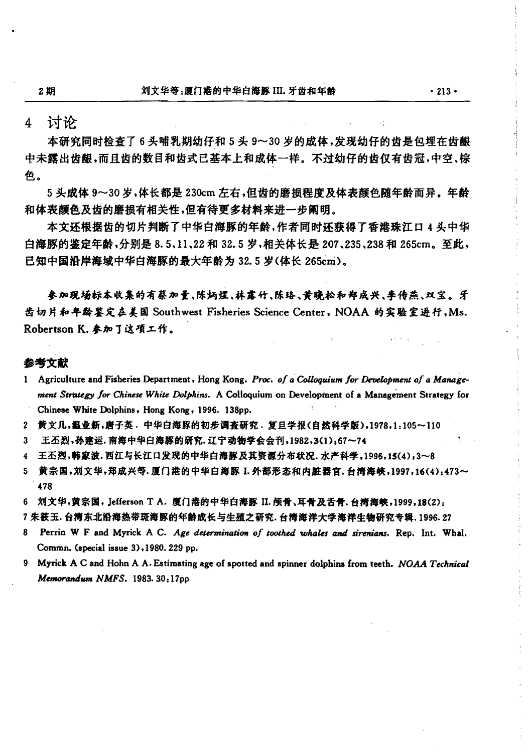$\overline{4}$ 计论

本研究同时检查了6头哺乳期幼仔和5头9~30岁的成体,发现幼仔的齿是包埋在齿龈 中未露出齿龈,而且齿的数目和齿式已基本上和成体一样。不过幼仔的齿仅有齿冠,中空、棕 色。

5 头成体 9~30 岁,体长都是 230cm 左右,但齿的磨损程度及体表颜色随年龄而异。年龄 和体表颜色及齿的磨损有相关性,但有待更多材料来讲一步阐明。

本文还根据齿的切片判断了中华白海豚的年龄,作者同时还获得了香港珠江口 4 头中华 白海豚的鉴定年龄,分别是 8.5、11、22 和 32.5 岁,相关体长是 207、235、238 和 265cm。至此, 已知中国沿岸海域中华白海豚的最大年龄为 32.5 岁(体长 265cm)。

参加现场标本收集的有蔡加量、陈炳煜、林霖竹、陈珞、黄晓松和郑成兴、李传燕、双宝。 牙 齿切片和年龄鉴定在美国 Southwest Fisheries Science Center, NOAA 的实验室进行,Ms. Robertson K. 参加了这项工作。

#### 参考文献

- 1 Agriculture and Fisheries Department, Hong Kong. Proc. of a Colloquium for Development of a Management Strategy for Chinese White Dolphins. A Colloquium on Development of a Management Strategy for Chinese White Dolphins, Hong Kong, 1996. 138pp.
- 2 黄文几,温业新,唐子英. 中华白海豚的初步调查研究. 复旦学报(自然科学版),1978,1:105~110
- 3 王丕烈,孙建运. 南海中华白海豚的研究. 辽宁动物学会会刊,1982,3(1):67~74
- 4 王丕烈,韩家波.西江与长江口发现的中华白海豚及其资源分布状况.水产科学,1996,15(4):3~8
- 5 黄宗国,刘文华,郑成兴等.厦门港的中华白海豚 I. 外部形态和内脏器官,台湾海峡,1997,16(4):473~ 478
- 6 刘文华,黄宗国, Jefferson T A. 厦门港的中华白海豚 II. 颅骨、耳骨及舌骨, 台濱海峡, 1999, 18(2):
- 7 朱筱玉. 台湾东北沿海热带斑海豚的年龄成长与生殖之研究. 台湾海洋大学海祥生物研究专辑. 1996. 27
- 8 Perrin W F and Myrick A C. Age determination of toothed whales and sirenians. Rep. Int. Whal. Commn. (special issue 3), 1980. 229 pp.
- 9 Myrick A C and Hohn A A. Estimating age of spotted and spinner dolphins from teeth. NOAA Technical Memorandum NMFS. 1983. 30:17pp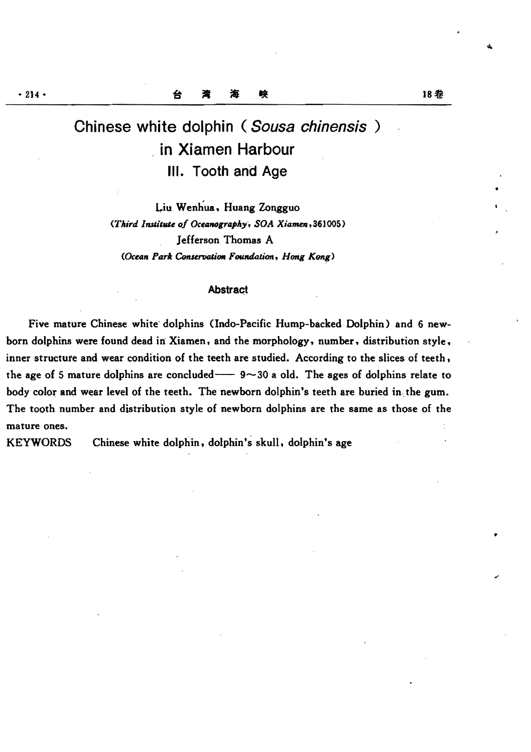# Chinese white dolphin (Sousa chinensis ) in Xiamen Harbour III. Tooth and Age

Liu Wenhua, Huang Zongguo (Third Institute of Oceanography, SOA Xiamen, 361005) Jefferson Thomas A *(Ocean Park Conservation Foundation*, *Hong Kong)* 

#### **Abstract**

Five mature Chinese white' dolphins (Indo-Pacific Hump-backed Dolphin) and 6 newborn dolphins were found dead in Xiamen, and the morphology, number, distribution style, inner structure and wear condition of the teeth are studied. According to the slices of teeth, the age of 5 mature dolphins are concluded  $-$  9 $\sim$ 30 a old. The ages of dolphins relate to body color and wear level of the teeth. The newborn dolphin's teeth are buried in the gum. The tooth number and distribution style of newborn dolphins are the same as those of the mature ones.

KEYWORDS Chinese white dolphin, dolphin's skull, dolphin's age

•